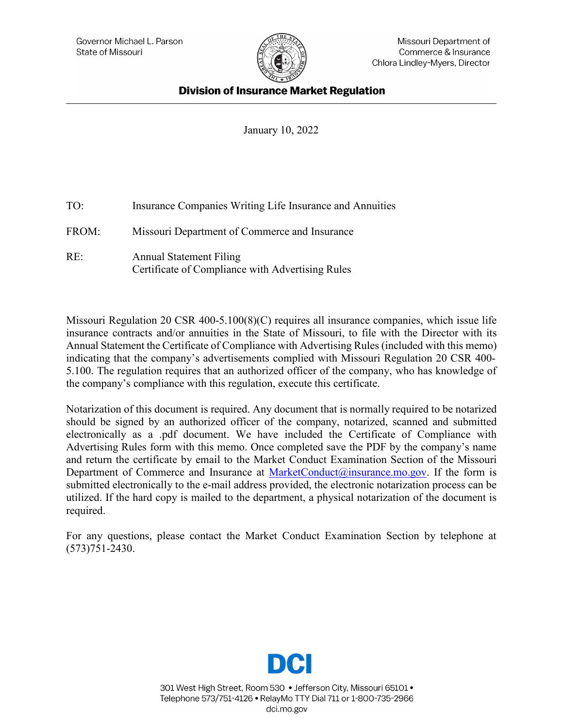

## **Division of Insurance Market Regulation**

January 10, 2022

| TO:   | Insurance Companies Writing Life Insurance and Annuities                           |
|-------|------------------------------------------------------------------------------------|
| FROM: | Missouri Department of Commerce and Insurance                                      |
| RE:   | <b>Annual Statement Filing</b><br>Certificate of Compliance with Advertising Rules |

Missouri Regulation 20 CSR 400-5.100(8)(C) requires all insurance companies, which issue life insurance contracts and/or annuities in the State of Missouri, to file with the Director with its Annual Statement the Certificate of Compliance with Advertising Rules (included with this memo) indicating that the company's advertisements complied with Missouri Regulation 20 CSR 400- 5.100. The regulation requires that an authorized officer of the company, who has knowledge of the company's compliance with this regulation, execute this certificate.

Notarization of this document is required. Any document that is normally required to be notarized should be signed by an authorized officer of the company, notarized, scanned and submitted electronically as a .pdf document. We have included the Certificate of Compliance with Advertising Rules form with this memo. Once completed save the PDF by the company's name and return the certificate by email to the Market Conduct Examination Section of the Missouri Department of Commerce and Insurance at [MarketConduct@insurance.mo.gov.](mailto:MarketConduct@insurance.mo.gov) If the form is submitted electronically to the e-mail address provided, the electronic notarization process can be utilized. If the hard copy is mailed to the department, a physical notarization of the document is required.

For any questions, please contact the Market Conduct Examination Section by telephone at (573)751-2430.



301 West High Street, Room 530 . Jefferson City, Missouri 65101. Telephone 573/751-4126 · RelayMo TTY Dial 711 or 1-800-735-2966 dci.mo.gov